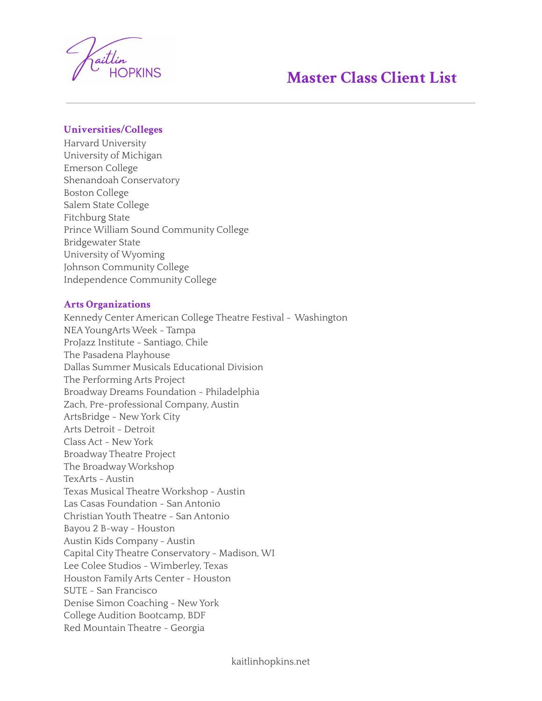

## **Master Class Client List**

## **Universities/Colleges**

Harvard University University of Michigan Emerson College Shenandoah Conservatory Boston College Salem State College Fitchburg State Prince William Sound Community College Bridgewater State University of Wyoming Johnson Community College Independence Community College

## **Arts Organizations**

Kennedy Center American College Theatre Festival - Washington NEAYoungArts Week - Tampa ProJazz Institute - Santiago, Chile The Pasadena Playhouse Dallas Summer Musicals Educational Division The Performing Arts Project Broadway Dreams Foundation - Philadelphia Zach, Pre-professional Company, Austin ArtsBridge - New York City Arts Detroit - Detroit Class Act - New York Broadway Theatre Project The BroadwayWorkshop TexArts - Austin Texas Musical Theatre Workshop - Austin Las Casas Foundation - San Antonio Christian Youth Theatre - San Antonio Bayou 2 B-way - Houston Austin Kids Company - Austin Capital City Theatre Conservatory - Madison, WI Lee Colee Studios - Wimberley, Texas Houston Family Arts Center - Houston SUTE - San Francisco Denise Simon Coaching - New York College Audition Bootcamp, BDF Red Mountain Theatre - Georgia